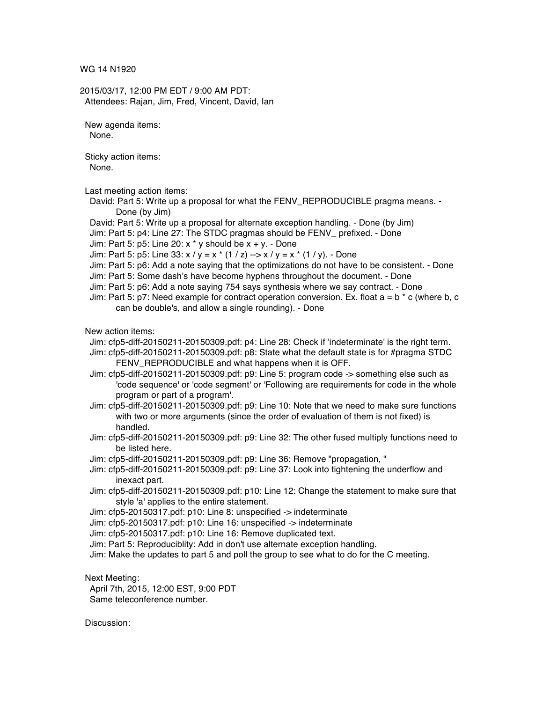WG 14 N1920

2015/03/17, 12:00 PM EDT / 9:00 AM PDT: Attendees: Rajan, Jim, Fred, Vincent, David, Ian

New agenda items: None.

Sticky action items: None.

Last meeting action items:

- David: Part 5: Write up a proposal for what the FENV\_REPRODUCIBLE pragma means. Done (by Jim)
- David: Part 5: Write up a proposal for alternate exception handling. Done (by Jim)
- Jim: Part 5: p4: Line 27: The STDC pragmas should be FENV\_ prefixed. Done
- Jim: Part 5:  $p5$ : Line 20: x \* y should be  $x + y$ . Done

Jim: Part 5: p5: Line  $33: x / y = x * (1 / z)$  -->  $x / y = x * (1 / y)$ . - Done

- Jim: Part 5: p6: Add a note saying that the optimizations do not have to be consistent. Done
- Jim: Part 5: Some dash's have become hyphens throughout the document. Done
- Jim: Part 5: p6: Add a note saying 754 says synthesis where we say contract. Done
- Jim: Part 5: p7: Need example for contract operation conversion. Ex. float  $a = b * c$  (where b, c can be double's, and allow a single rounding). - Done

New action items:

- Jim: cfp5-diff-20150211-20150309.pdf: p4: Line 28: Check if 'indeterminate' is the right term.
- Jim: cfp5-diff-20150211-20150309.pdf: p8: State what the default state is for #pragma STDC FENV\_REPRODUCIBLE and what happens when it is OFF.
- Jim: cfp5-diff-20150211-20150309.pdf: p9: Line 5: program code -> something else such as 'code sequence' or 'code segment' or 'Following are requirements for code in the whole program or part of a program'.
- Jim: cfp5-diff-20150211-20150309.pdf: p9: Line 10: Note that we need to make sure functions with two or more arguments (since the order of evaluation of them is not fixed) is handled.
- Jim: cfp5-diff-20150211-20150309.pdf: p9: Line 32: The other fused multiply functions need to be listed here.
- Jim: cfp5-diff-20150211-20150309.pdf: p9: Line 36: Remove "propagation, "
- Jim: cfp5-diff-20150211-20150309.pdf: p9: Line 37: Look into tightening the underflow and inexact part.
- Jim: cfp5-diff-20150211-20150309.pdf: p10: Line 12: Change the statement to make sure that style 'a' applies to the entire statement.
- Jim: cfp5-20150317.pdf: p10: Line 8: unspecified -> indeterminate
- Jim: cfp5-20150317.pdf: p10: Line 16: unspecified -> indeterminate
- Jim: cfp5-20150317.pdf: p10: Line 16: Remove duplicated text.
- Jim: Part 5: Reproduciblity: Add in don't use alternate exception handling.
- Jim: Make the updates to part 5 and poll the group to see what to do for the C meeting.

Next Meeting:

April 7th, 2015, 12:00 EST, 9:00 PDT Same teleconference number.

Discussion: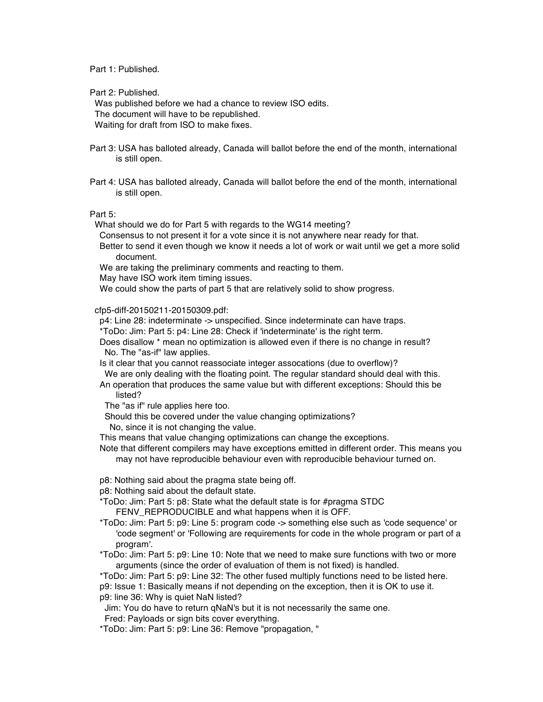Part 1: Published.

Part 2: Published.

Was published before we had a chance to review ISO edits. The document will have to be republished. Waiting for draft from ISO to make fixes.

- Part 3: USA has balloted already, Canada will ballot before the end of the month, international is still open.
- Part 4: USA has balloted already, Canada will ballot before the end of the month, international is still open.

Part 5:

What should we do for Part 5 with regards to the WG14 meeting?

- Consensus to not present it for a vote since it is not anywhere near ready for that.
- Better to send it even though we know it needs a lot of work or wait until we get a more solid document.
- We are taking the preliminary comments and reacting to them.

May have ISO work item timing issues.

We could show the parts of part 5 that are relatively solid to show progress.

cfp5-diff-20150211-20150309.pdf:

p4: Line 28: indeterminate -> unspecified. Since indeterminate can have traps.

\*ToDo: Jim: Part 5: p4: Line 28: Check if 'indeterminate' is the right term.

Does disallow \* mean no optimization is allowed even if there is no change in result? No. The "as-if" law applies.

Is it clear that you cannot reassociate integer assocations (due to overflow)?

We are only dealing with the floating point. The regular standard should deal with this. An operation that produces the same value but with different exceptions: Should this be

listed?

The "as if" rule applies here too.

Should this be covered under the value changing optimizations?

No, since it is not changing the value.

This means that value changing optimizations can change the exceptions.

Note that different compilers may have exceptions emitted in different order. This means you may not have reproducible behaviour even with reproducible behaviour turned on.

p8: Nothing said about the pragma state being off.

p8: Nothing said about the default state.

\*ToDo: Jim: Part 5: p8: State what the default state is for #pragma STDC FENV\_REPRODUCIBLE and what happens when it is OFF.

\*ToDo: Jim: Part 5: p9: Line 5: program code -> something else such as 'code sequence' or 'code segment' or 'Following are requirements for code in the whole program or part of a program'.

\*ToDo: Jim: Part 5: p9: Line 10: Note that we need to make sure functions with two or more arguments (since the order of evaluation of them is not fixed) is handled.

\*ToDo: Jim: Part 5: p9: Line 32: The other fused multiply functions need to be listed here.

p9: Issue 1: Basically means if not depending on the exception, then it is OK to use it.

p9: line 36: Why is quiet NaN listed?

Jim: You do have to return qNaN's but it is not necessarily the same one.

Fred: Payloads or sign bits cover everything.

\*ToDo: Jim: Part 5: p9: Line 36: Remove "propagation, "